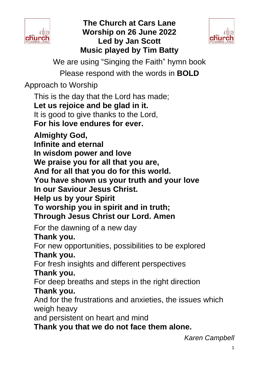

**The Church at Cars Lane Worship on 26 June 2022 Led by Jan Scott Music played by Tim Batty**



We are using "Singing the Faith" hymn book Please respond with the words in **BOLD**

Approach to Worship

This is the day that the Lord has made;

**Let us rejoice and be glad in it.**

It is good to give thanks to the Lord,

**For his love endures for ever.**

**Almighty God,**

**Infinite and eternal**

**In wisdom power and love**

**We praise you for all that you are,**

**And for all that you do for this world.**

**You have shown us your truth and your love In our Saviour Jesus Christ.**

# **Help us by your Spirit**

**To worship you in spirit and in truth; Through Jesus Christ our Lord. Amen**

For the dawning of a new day

# **Thank you.**

For new opportunities, possibilities to be explored **Thank you.**

For fresh insights and different perspectives

### **Thank you.**

For deep breaths and steps in the right direction

### **Thank you.**

And for the frustrations and anxieties, the issues which weigh heavy

and persistent on heart and mind

**Thank you that we do not face them alone.**

*Karen Campbell*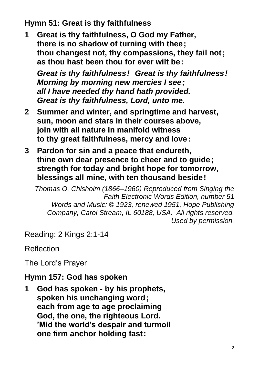**Hymn 51: Great is thy faithfulness**

**1 Great is thy faithfulness, O God my Father, there is no shadow of turning with thee; thou changest not, thy compassions, they fail not; as thou hast been thou for ever wilt be:**

*Great is thy faithfulness! Great is thy faithfulness! Morning by morning new mercies I see; all I have needed thy hand hath provided. Great is thy faithfulness, Lord, unto me.*

- **2 Summer and winter, and springtime and harvest, sun, moon and stars in their courses above, join with all nature in manifold witness to thy great faithfulness, mercy and love:**
- **3 Pardon for sin and a peace that endureth, thine own dear presence to cheer and to guide; strength for today and bright hope for tomorrow, blessings all mine, with ten thousand beside!**

*Thomas O. Chisholm (1866–1960) Reproduced from Singing the Faith Electronic Words Edition, number 51 Words and Music: © 1923, renewed 1951, Hope Publishing Company, Carol Stream, IL 60188, USA. All rights reserved. Used by permission.*

Reading: 2 Kings 2:1-14

Reflection

The Lord's Prayer

### **Hymn 157: God has spoken**

**1 God has spoken - by his prophets, spoken his unchanging word; each from age to age proclaiming God, the one, the righteous Lord. 'Mid the world's despair and turmoil one firm anchor holding fast:**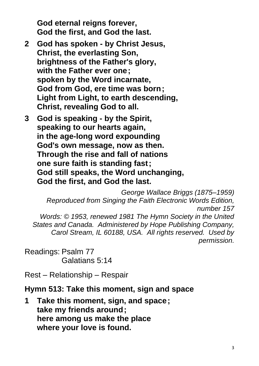**God eternal reigns forever, God the first, and God the last.**

- **2 God has spoken - by Christ Jesus, Christ, the everlasting Son, brightness of the Father's glory, with the Father ever one; spoken by the Word incarnate, God from God, ere time was born; Light from Light, to earth descending, Christ, revealing God to all.**
- **3 God is speaking - by the Spirit, speaking to our hearts again, in the age-long word expounding God's own message, now as then. Through the rise and fall of nations one sure faith is standing fast; God still speaks, the Word unchanging, God the first, and God the last.**

*George Wallace Briggs (1875–1959) Reproduced from Singing the Faith Electronic Words Edition, number 157 Words: © 1953, renewed 1981 The Hymn Society in the United States and Canada. Administered by Hope Publishing Company, Carol Stream, IL 60188, USA. All rights reserved. Used by permission.*

Readings: Psalm 77 Galatians 5:14

Rest – Relationship – Respair

#### **Hymn 513: Take this moment, sign and space**

**1 Take this moment, sign, and space; take my friends around; here among us make the place where your love is found.**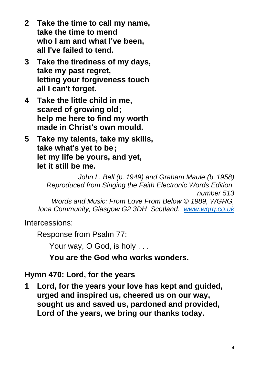- **2 Take the time to call my name, take the time to mend who I am and what I've been, all I've failed to tend.**
- **3 Take the tiredness of my days, take my past regret, letting your forgiveness touch all I can't forget.**
- **4 Take the little child in me, scared of growing old; help me here to find my worth made in Christ's own mould.**
- **5 Take my talents, take my skills, take what's yet to be; let my life be yours, and yet, let it still be me.**

*John L. Bell (b. 1949) and Graham Maule (b. 1958) Reproduced from Singing the Faith Electronic Words Edition, number 513 Words and Music: From Love From Below © 1989, WGRG, Iona Community, Glasgow G2 3DH Scotland. [www.wgrg.co.uk](http://www.wgrg.co.uk/)*

Intercessions:

Response from Psalm 77:

Your way, O God, is holy . . .

**You are the God who works wonders.**

# **Hymn 470: Lord, for the years**

**1 Lord, for the years your love has kept and guided, urged and inspired us, cheered us on our way, sought us and saved us, pardoned and provided, Lord of the years, we bring our thanks today.**